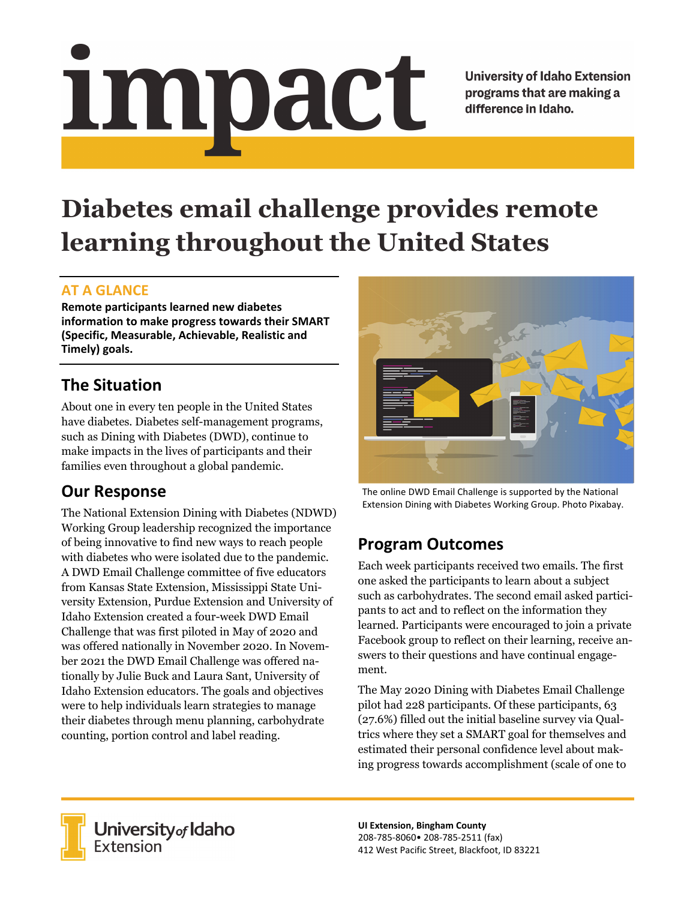# Impact

**University of Idaho Extension** programs that are making a difference in Idaho.

# **Diabetes email challenge provides remote learning throughout the United States**

### **AT A GLANCE**

**Remote participants learned new diabetes information to make progress towards their SMART (Specific, Measurable, Achievable, Realistic and Timely) goals.**

# **The Situation**

About one in every ten people in the United States have diabetes. Diabetes self-management programs, such as Dining with Diabetes (DWD), continue to make impacts in the lives of participants and their families even throughout a global pandemic.

# **Our Response**

The National Extension Dining with Diabetes (NDWD) Working Group leadership recognized the importance of being innovative to find new ways to reach people with diabetes who were isolated due to the pandemic. A DWD Email Challenge committee of five educators from Kansas State Extension, Mississippi State University Extension, Purdue Extension and University of Idaho Extension created a four-week DWD Email Challenge that was first piloted in May of 2020 and was offered nationally in November 2020. In November 2021 the DWD Email Challenge was offered nationally by Julie Buck and Laura Sant, University of Idaho Extension educators. The goals and objectives were to help individuals learn strategies to manage their diabetes through menu planning, carbohydrate counting, portion control and label reading.



The online DWD Email Challenge is supported by the National Extension Dining with Diabetes Working Group. Photo Pixabay.

# **Program Outcomes**

Each week participants received two emails. The first one asked the participants to learn about a subject such as carbohydrates. The second email asked participants to act and to reflect on the information they learned. Participants were encouraged to join a private Facebook group to reflect on their learning, receive answers to their questions and have continual engagement.

The May 2020 Dining with Diabetes Email Challenge pilot had 228 participants. Of these participants, 63 (27.6%) filled out the initial baseline survey via Qualtrics where they set a SMART goal for themselves and estimated their personal confidence level about making progress towards accomplishment (scale of one to



University of Idaho<br>Extension

**UI Extension, Bingham County** 208‐785‐8060• 208‐785‐2511 (fax) 412 West Pacific Street, Blackfoot, ID 83221